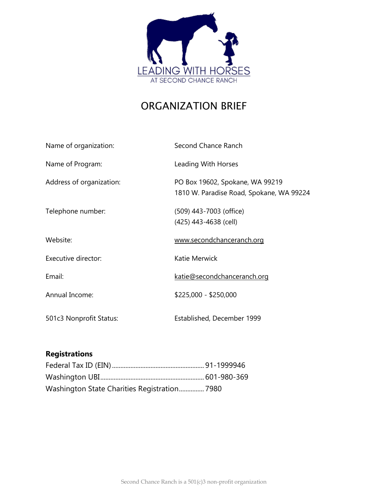

# ORGANIZATION BRIEF

| Name of organization:    | Second Chance Ranch                                                         |
|--------------------------|-----------------------------------------------------------------------------|
| Name of Program:         | Leading With Horses                                                         |
| Address of organization: | PO Box 19602, Spokane, WA 99219<br>1810 W. Paradise Road, Spokane, WA 99224 |
| Telephone number:        | (509) 443-7003 (office)<br>(425) 443-4638 (cell)                            |
| Website:                 | www.secondchanceranch.org                                                   |
| Executive director:      | Katie Merwick                                                               |
| Email:                   | katie@secondchanceranch.org                                                 |
| Annual Income:           | \$225,000 - \$250,000                                                       |
| 501c3 Nonprofit Status:  | Established, December 1999                                                  |

# **Registrations**

| Washington State Charities Registration 7980 |  |
|----------------------------------------------|--|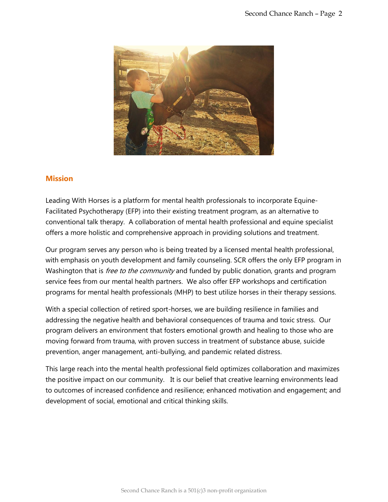

### **Mission**

Leading With Horses is a platform for mental health professionals to incorporate Equine-Facilitated Psychotherapy (EFP) into their existing treatment program, as an alternative to conventional talk therapy. A collaboration of mental health professional and equine specialist offers a more holistic and comprehensive approach in providing solutions and treatment.

Our program serves any person who is being treated by a licensed mental health professional, with emphasis on youth development and family counseling. SCR offers the only EFP program in Washington that is *free to the community* and funded by public donation, grants and program service fees from our mental health partners. We also offer EFP workshops and certification programs for mental health professionals (MHP) to best utilize horses in their therapy sessions.

With a special collection of retired sport-horses, we are building resilience in families and addressing the negative health and behavioral consequences of trauma and toxic stress. Our program delivers an environment that fosters emotional growth and healing to those who are moving forward from trauma, with proven success in treatment of substance abuse, suicide prevention, anger management, anti-bullying, and pandemic related distress.

This large reach into the mental health professional field optimizes collaboration and maximizes the positive impact on our community. It is our belief that creative learning environments lead to outcomes of increased confidence and resilience; enhanced motivation and engagement; and development of social, emotional and critical thinking skills.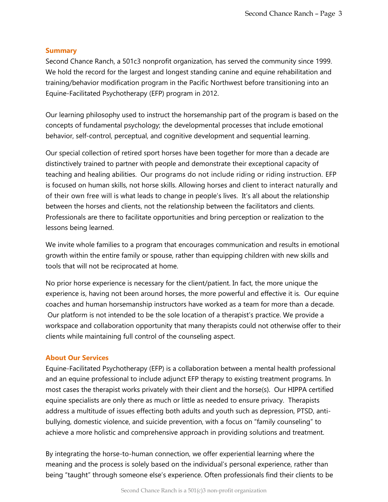### **Summary**

Second Chance Ranch, a 501c3 nonprofit organization, has served the community since 1999. We hold the record for the largest and longest standing canine and equine rehabilitation and training/behavior modification program in the Pacific Northwest before transitioning into an Equine-Facilitated Psychotherapy (EFP) program in 2012.

Our learning philosophy used to instruct the horsemanship part of the program is based on the concepts of fundamental psychology; the developmental processes that include emotional behavior, self-control, perceptual, and cognitive development and sequential learning.

Our special collection of retired sport horses have been together for more than a decade are distinctively trained to partner with people and demonstrate their exceptional capacity of teaching and healing abilities. Our programs do not include riding or riding instruction. EFP is focused on human skills, not horse skills. Allowing horses and client to interact naturally and of their own free will is what leads to change in people's lives. It's all about the relationship between the horses and clients, not the relationship between the facilitators and clients. Professionals are there to facilitate opportunities and bring perception or realization to the lessons being learned.

We invite whole families to a program that encourages communication and results in emotional growth within the entire family or spouse, rather than equipping children with new skills and tools that will not be reciprocated at home.

No prior horse experience is necessary for the client/patient. In fact, the more unique the experience is, having not been around horses, the more powerful and effective it is. Our equine coaches and human horsemanship instructors have worked as a team for more than a decade. Our platform is not intended to be the sole location of a therapist's practice. We provide a workspace and collaboration opportunity that many therapists could not otherwise offer to their clients while maintaining full control of the counseling aspect.

### **About Our Services**

Equine-Facilitated Psychotherapy (EFP) is a collaboration between a mental health professional and an equine professional to include adjunct EFP therapy to existing treatment programs. In most cases the therapist works privately with their client and the horse(s). Our HIPPA certified equine specialists are only there as much or little as needed to ensure privacy. Therapists address a multitude of issues effecting both adults and youth such as depression, PTSD, antibullying, domestic violence, and suicide prevention, with a focus on "family counseling" to achieve a more holistic and comprehensive approach in providing solutions and treatment.

By integrating the horse-to-human connection, we offer experiential learning where the meaning and the process is solely based on the individual's personal experience, rather than being "taught" through someone else's experience. Often professionals find their clients to be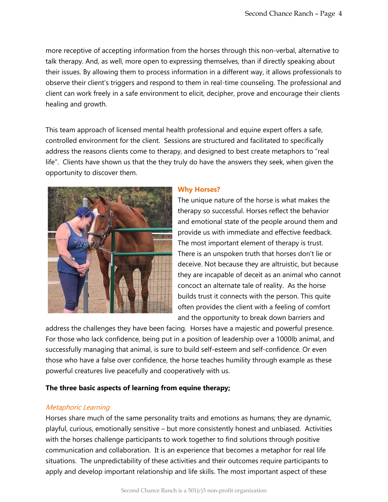more receptive of accepting information from the horses through this non-verbal, alternative to talk therapy. And, as well, more open to expressing themselves, than if directly speaking about their issues. By allowing them to process information in a different way, it allows professionals to observe their client's triggers and respond to them in real-time counseling. The professional and client can work freely in a safe environment to elicit, decipher, prove and encourage their clients healing and growth.

This team approach of licensed mental health professional and equine expert offers a safe, controlled environment for the client. Sessions are structured and facilitated to specifically address the reasons clients come to therapy, and designed to best create metaphors to "real life". Clients have shown us that the they truly do have the answers they seek, when given the opportunity to discover them.



### **Why Horses?**

The unique nature of the horse is what makes the therapy so successful. Horses reflect the behavior and emotional state of the people around them and provide us with immediate and effective feedback. The most important element of therapy is trust. There is an unspoken truth that horses don't lie or deceive. Not because they are altruistic, but because they are incapable of deceit as an animal who cannot concoct an alternate tale of reality. As the horse builds trust it connects with the person. This quite often provides the client with a feeling of comfort and the opportunity to break down barriers and

address the challenges they have been facing. Horses have a majestic and powerful presence. For those who lack confidence, being put in a position of leadership over a 1000lb animal, and successfully managing that animal, is sure to build self-esteem and self-confidence. Or even those who have a false over confidence, the horse teaches humility through example as these powerful creatures live peacefully and cooperatively with us.

### **The three basic aspects of learning from equine therapy;**

### Metaphoric Learning

Horses share much of the same personality traits and emotions as humans; they are dynamic, playful, curious, emotionally sensitive – but more consistently honest and unbiased. Activities with the horses challenge participants to work together to find solutions through positive communication and collaboration. It is an experience that becomes a metaphor for real life situations. The unpredictability of these activities and their outcomes require participants to apply and develop important relationship and life skills. The most important aspect of these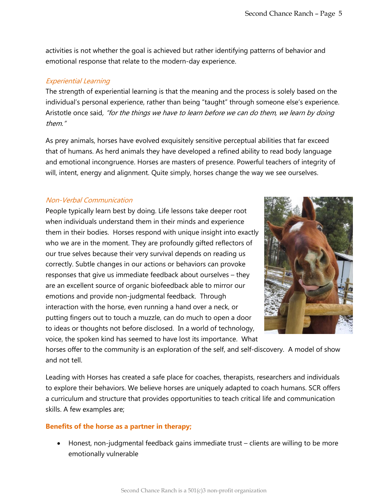activities is not whether the goal is achieved but rather identifying patterns of behavior and emotional response that relate to the modern-day experience.

### Experiential Learning

The strength of experiential learning is that the meaning and the process is solely based on the individual's personal experience, rather than being "taught" through someone else's experience. Aristotle once said, "for the things we have to learn before we can do them, we learn by doing them."

As prey animals, horses have evolved exquisitely sensitive perceptual abilities that far exceed that of humans. As herd animals they have developed a refined ability to read body language and emotional incongruence. Horses are masters of presence. Powerful teachers of integrity of will, intent, energy and alignment. Quite simply, horses change the way we see ourselves.

### Non-Verbal Communication

People typically learn best by doing. Life lessons take deeper root when individuals understand them in their minds and experience them in their bodies. Horses respond with unique insight into exactly who we are in the moment. They are profoundly gifted reflectors of our true selves because their very survival depends on reading us correctly. Subtle changes in our actions or behaviors can provoke responses that give us immediate feedback about ourselves – they are an excellent source of organic biofeedback able to mirror our emotions and provide non-judgmental feedback. Through interaction with the horse, even running a hand over a neck, or putting fingers out to touch a muzzle, can do much to open a door to ideas or thoughts not before disclosed. In a world of technology, voice, the spoken kind has seemed to have lost its importance. What



horses offer to the community is an exploration of the self, and self-discovery. A model of show and not tell.

Leading with Horses has created a safe place for coaches, therapists, researchers and individuals to explore their behaviors. We believe horses are uniquely adapted to coach humans. SCR offers a curriculum and structure that provides opportunities to teach critical life and communication skills. A few examples are;

### **Benefits of the horse as a partner in therapy;**

• Honest, non-judgmental feedback gains immediate trust – clients are willing to be more emotionally vulnerable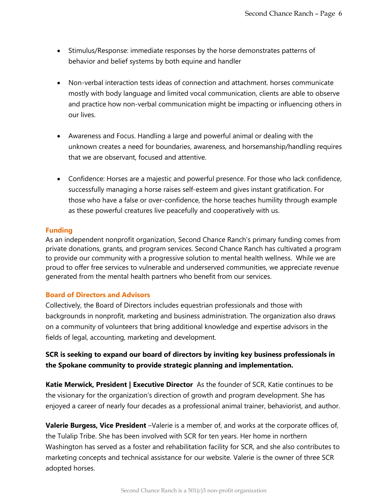- Stimulus/Response: immediate responses by the horse demonstrates patterns of behavior and belief systems by both equine and handler
- Non-verbal interaction tests ideas of connection and attachment. horses communicate mostly with body language and limited vocal communication, clients are able to observe and practice how non-verbal communication might be impacting or influencing others in our lives.
- Awareness and Focus. Handling a large and powerful animal or dealing with the unknown creates a need for boundaries, awareness, and horsemanship/handling requires that we are observant, focused and attentive.
- Confidence: Horses are a majestic and powerful presence. For those who lack confidence, successfully managing a horse raises self-esteem and gives instant gratification. For those who have a false or over-confidence, the horse teaches humility through example as these powerful creatures live peacefully and cooperatively with us.

### **Funding**

As an independent nonprofit organization, Second Chance Ranch's primary funding comes from private donations, grants, and program services. Second Chance Ranch has cultivated a program to provide our community with a progressive solution to mental health wellness. While we are proud to offer free services to vulnerable and underserved communities, we appreciate revenue generated from the mental health partners who benefit from our services.

### **Board of Directors and Advisors**

Collectively, the Board of Directors includes equestrian professionals and those with backgrounds in nonprofit, marketing and business administration. The organization also draws on a community of volunteers that bring additional knowledge and expertise advisors in the fields of legal, accounting, marketing and development.

## **SCR is seeking to expand our board of directors by inviting key business professionals in the Spokane community to provide strategic planning and implementation.**

**Katie Merwick, President | Executive Director** As the founder of SCR, Katie continues to be the visionary for the organization's direction of growth and program development. She has enjoyed a career of nearly four decades as a professional animal trainer, behaviorist, and author.

**Valerie Burgess, Vice President** –Valerie is a member of, and works at the corporate offices of, the Tulalip Tribe. She has been involved with SCR for ten years. Her home in northern Washington has served as a foster and rehabilitation facility for SCR, and she also contributes to marketing concepts and technical assistance for our website. Valerie is the owner of three SCR adopted horses.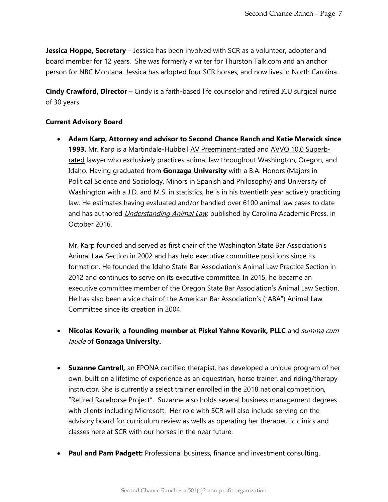**Jessica Hoppe, Secretary** – Jessica has been involved with SCR as a volunteer, adopter and board member for 12 years. She was formerly a writer for Thurston Talk.com and an anchor person for NBC Montana. Jessica has adopted four SCR horses, and now lives in North Carolina.

**Cindy Crawford, Director** – Cindy is a faith-based life counselor and retired ICU surgical nurse of 30 years.

### **Current Advisory Board**

• **Adam Karp, Attorney and advisor to Second Chance Ranch and Katie Merwick since 1993.** Mr. Karp is a Martindale-Hubbell [AV Preeminent-rated](http://www.martindale.com/Adam-Phillip-Karp/1766170-lawyer.htm?view=cr) and [AVVO 10.0 Superb](https://animallawyer.wordpress.com/98225-wa-adam-karp-28396.html)[rated](https://animallawyer.wordpress.com/98225-wa-adam-karp-28396.html) lawyer who exclusively practices animal law throughout Washington, Oregon, and Idaho. Having graduated from **Gonzaga University** with a B.A. Honors (Majors in Political Science and Sociology, Minors in Spanish and Philosophy) and University of Washington with a J.D. and M.S. in statistics, he is in his twentieth year actively practicing law. He estimates having evaluated and/or handled over 6100 animal law cases to date and has authored *Understanding Animal Law*, published by Carolina Academic Press, in October 2016.

Mr. Karp founded and served as first chair of the Washington State Bar Association's Animal Law Section in 2002 and has held executive committee positions since its formation. He founded the Idaho State Bar Association's Animal Law Practice Section in 2012 and continues to serve on its executive committee. In 2015, he became an executive committee member of the Oregon State Bar Association's Animal Law Section. He has also been a vice chair of the American Bar Association's ("ABA") Animal Law Committee since its creation in 2004.

- **Nicolas Kovarik**, **a founding member at Piskel Yahne Kovarik, PLLC** and summa cum laude of **Gonzaga University.**
- **Suzanne Cantrell,** an EPONA certified therapist, has developed a unique program of her own, built on a lifetime of experience as an equestrian, horse trainer, and riding/therapy instructor. She is currently a select trainer enrolled in the 2018 national competition, "Retired Racehorse Project". Suzanne also holds several business management degrees with clients including Microsoft. Her role with SCR will also include serving on the advisory board for curriculum review as wells as operating her therapeutic clinics and classes here at SCR with our horses in the near future.
- **Paul and Pam Padgett:** Professional business, finance and investment consulting.